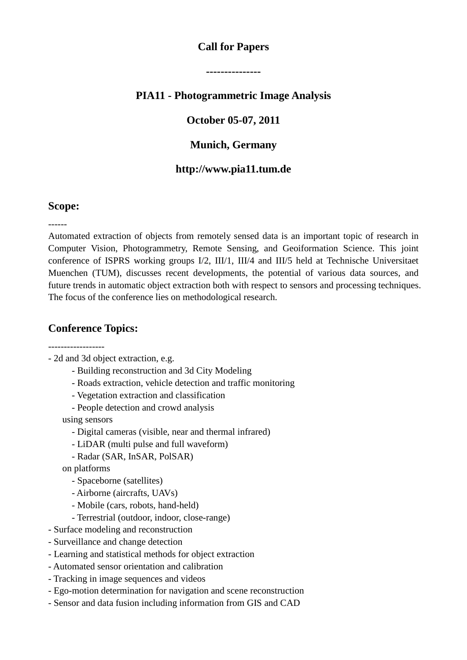### **Call for Papers**

**---------------**

## **PIA11 - Photogrammetric Image Analysis**

### **October 05-07, 2011**

#### **Munich, Germany**

#### **http://www.pia11.tum.de**

#### **Scope:**

------

Automated extraction of objects from remotely sensed data is an important topic of research in Computer Vision, Photogrammetry, Remote Sensing, and Geoiformation Science. This joint conference of ISPRS working groups I/2, III/1, III/4 and III/5 held at Technische Universitaet Muenchen (TUM), discusses recent developments, the potential of various data sources, and future trends in automatic object extraction both with respect to sensors and processing techniques. The focus of the conference lies on methodological research.

#### **Conference Topics:**

------------------

- 2d and 3d object extraction, e.g.

- Building reconstruction and 3d City Modeling
- Roads extraction, vehicle detection and traffic monitoring
- Vegetation extraction and classification
- People detection and crowd analysis

using sensors

- Digital cameras (visible, near and thermal infrared)
- LiDAR (multi pulse and full waveform)
- Radar (SAR, InSAR, PolSAR)

on platforms

- Spaceborne (satellites)
- Airborne (aircrafts, UAVs)
- Mobile (cars, robots, hand-held)
- Terrestrial (outdoor, indoor, close-range)
- Surface modeling and reconstruction
- Surveillance and change detection
- Learning and statistical methods for object extraction
- Automated sensor orientation and calibration
- Tracking in image sequences and videos
- Ego-motion determination for navigation and scene reconstruction
- Sensor and data fusion including information from GIS and CAD